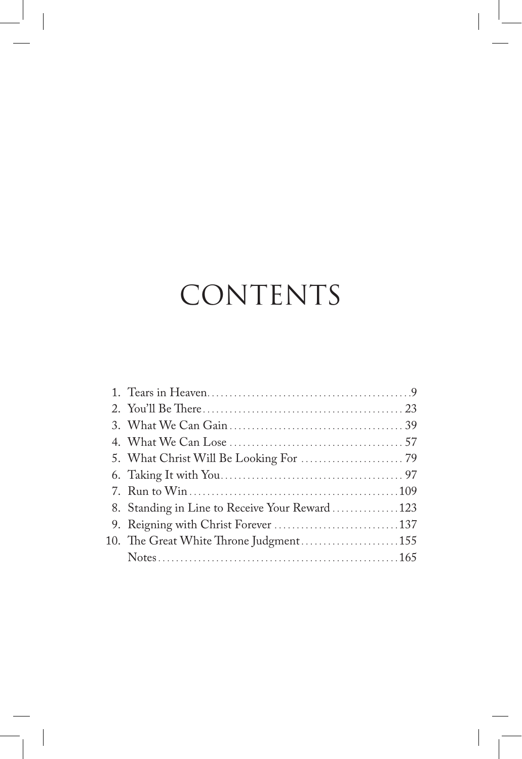# **CONTENTS**

| 8. Standing in Line to Receive Your Reward123 |  |
|-----------------------------------------------|--|
|                                               |  |
| 10. The Great White Throne Judgment155        |  |
|                                               |  |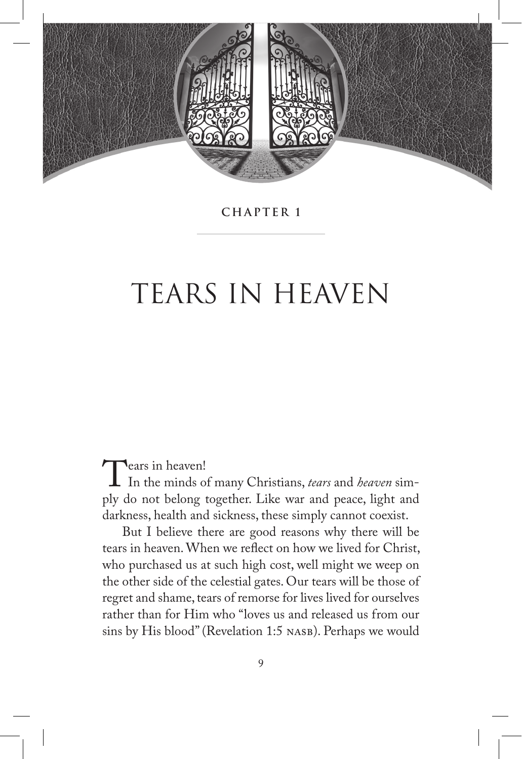

#### **chapter 1**

## TEARS IN HEAVEN

 $\sum_{n=1}^{\infty} \frac{r_{\text{ears in heavy}}}{r_{\text{In the minds of}}}\$ In the minds of many Christians, *tears* and *heaven* simply do not belong together. Like war and peace, light and darkness, health and sickness, these simply cannot coexist.

But I believe there are good reasons why there will be tears in heaven. When we reflect on how we lived for Christ, who purchased us at such high cost, well might we weep on the other side of the celestial gates. Our tears will be those of regret and shame, tears of remorse for lives lived for ourselves rather than for Him who "loves us and released us from our sins by His blood" (Revelation 1:5 NASB). Perhaps we would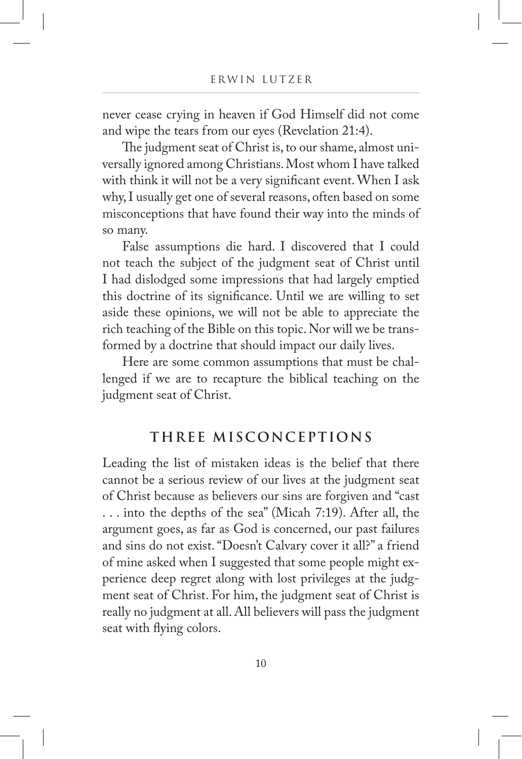never cease crying in heaven if God Himself did not come and wipe the tears from our eyes (Revelation 21:4).

The judgment seat of Christ is, to our shame, almost universally ignored among Christians. Most whom I have talked with think it will not be a very significant event. When I ask why, I usually get one of several reasons, often based on some misconceptions that have found their way into the minds of so many.

False assumptions die hard. I discovered that I could not teach the subject of the judgment seat of Christ until I had dislodged some impressions that had largely emptied this doctrine of its significance. Until we are willing to set aside these opinions, we will not be able to appreciate the rich teaching of the Bible on this topic. Nor will we be transformed by a doctrine that should impact our daily lives.

Here are some common assumptions that must be challenged if we are to recapture the biblical teaching on the judgment seat of Christ.

#### **THREE MISCONCEPTIONS**

Leading the list of mistaken ideas is the belief that there cannot be a serious review of our lives at the judgment seat of Christ because as believers our sins are forgiven and "cast . . . into the depths of the sea" (Micah 7:19). After all, the argument goes, as far as God is concerned, our past failures and sins do not exist. "Doesn't Calvary cover it all?" a friend of mine asked when I suggested that some people might experience deep regret along with lost privileges at the judgment seat of Christ. For him, the judgment seat of Christ is really no judgment at all. All believers will pass the judgment seat with flying colors.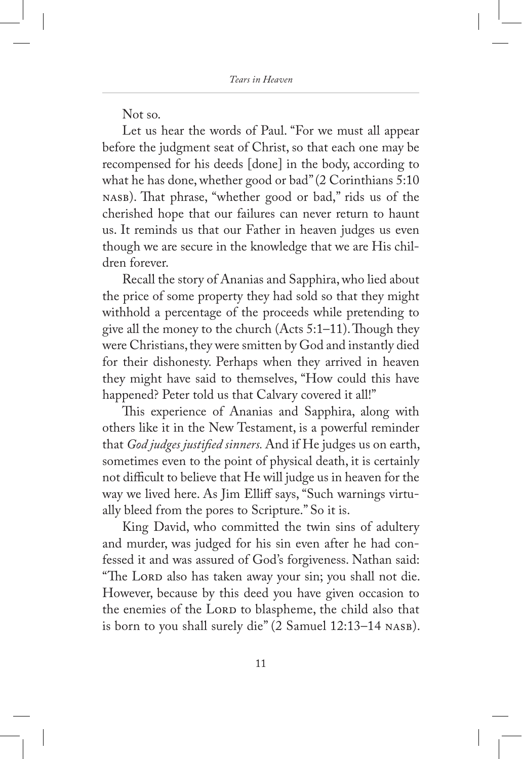Not so.

Let us hear the words of Paul. "For we must all appear before the judgment seat of Christ, so that each one may be recompensed for his deeds [done] in the body, according to what he has done, whether good or bad" (2 Corinthians 5:10 nasb). That phrase, "whether good or bad," rids us of the cherished hope that our failures can never return to haunt us. It reminds us that our Father in heaven judges us even though we are secure in the knowledge that we are His children forever.

Recall the story of Ananias and Sapphira, who lied about the price of some property they had sold so that they might withhold a percentage of the proceeds while pretending to give all the money to the church (Acts 5:1–11). Though they were Christians, they were smitten by God and instantly died for their dishonesty. Perhaps when they arrived in heaven they might have said to themselves, "How could this have happened? Peter told us that Calvary covered it all!"

This experience of Ananias and Sapphira, along with others like it in the New Testament, is a powerful reminder that *God judges justified sinners.* And if He judges us on earth, sometimes even to the point of physical death, it is certainly not difficult to believe that He will judge us in heaven for the way we lived here. As Jim Elliff says, "Such warnings virtually bleed from the pores to Scripture." So it is.

King David, who committed the twin sins of adultery and murder, was judged for his sin even after he had confessed it and was assured of God's forgiveness. Nathan said: "The Lorp also has taken away your sin; you shall not die. However, because by this deed you have given occasion to the enemies of the LORD to blaspheme, the child also that is born to you shall surely die" (2 Samuel 12:13-14 NASB).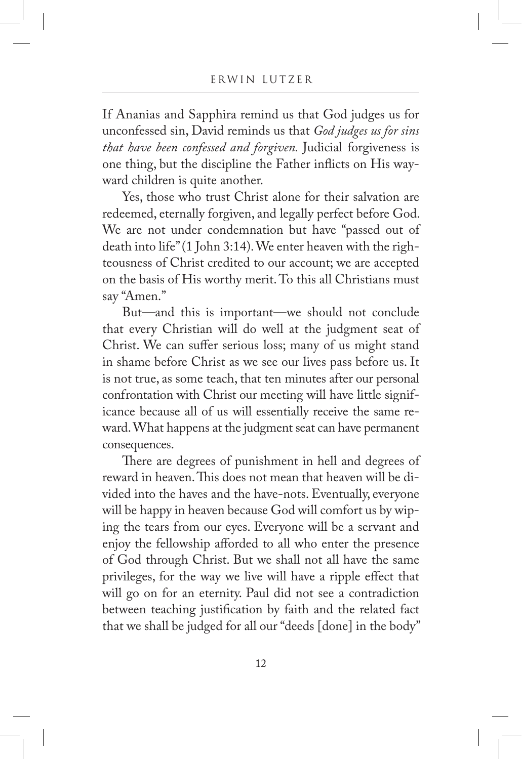If Ananias and Sapphira remind us that God judges us for unconfessed sin, David reminds us that *God judges us for sins that have been confessed and forgiven.* Judicial forgiveness is one thing, but the discipline the Father inflicts on His wayward children is quite another.

Yes, those who trust Christ alone for their salvation are redeemed, eternally forgiven, and legally perfect before God. We are not under condemnation but have "passed out of death into life" (1 John 3:14). We enter heaven with the righteousness of Christ credited to our account; we are accepted on the basis of His worthy merit. To this all Christians must say "Amen."

But—and this is important—we should not conclude that every Christian will do well at the judgment seat of Christ. We can suffer serious loss; many of us might stand in shame before Christ as we see our lives pass before us. It is not true, as some teach, that ten minutes after our personal confrontation with Christ our meeting will have little significance because all of us will essentially receive the same reward. What happens at the judgment seat can have permanent consequences.

There are degrees of punishment in hell and degrees of reward in heaven. This does not mean that heaven will be divided into the haves and the have-nots. Eventually, everyone will be happy in heaven because God will comfort us by wiping the tears from our eyes. Everyone will be a servant and enjoy the fellowship afforded to all who enter the presence of God through Christ. But we shall not all have the same privileges, for the way we live will have a ripple effect that will go on for an eternity. Paul did not see a contradiction between teaching justification by faith and the related fact that we shall be judged for all our "deeds [done] in the body"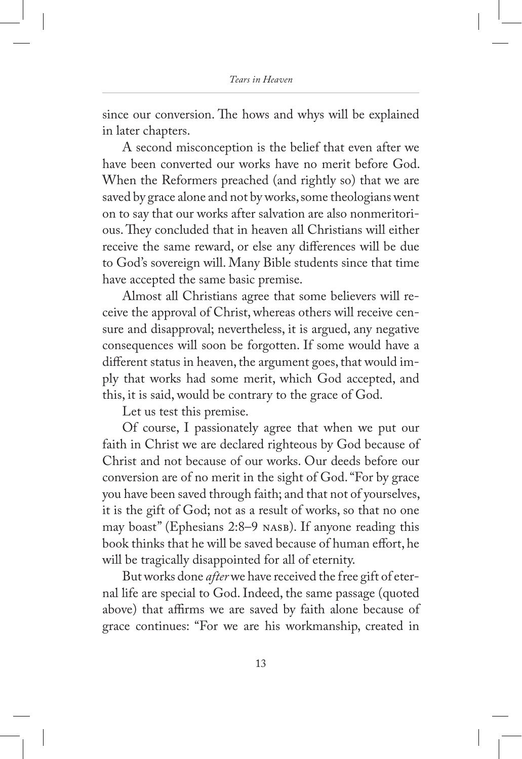since our conversion. The hows and whys will be explained in later chapters.

A second misconception is the belief that even after we have been converted our works have no merit before God. When the Reformers preached (and rightly so) that we are saved by grace alone and not by works, some theologians went on to say that our works after salvation are also nonmeritorious. They concluded that in heaven all Christians will either receive the same reward, or else any differences will be due to God's sovereign will. Many Bible students since that time have accepted the same basic premise.

Almost all Christians agree that some believers will receive the approval of Christ, whereas others will receive censure and disapproval; nevertheless, it is argued, any negative consequences will soon be forgotten. If some would have a different status in heaven, the argument goes, that would imply that works had some merit, which God accepted, and this, it is said, would be contrary to the grace of God.

Let us test this premise.

Of course, I passionately agree that when we put our faith in Christ we are declared righteous by God because of Christ and not because of our works. Our deeds before our conversion are of no merit in the sight of God. "For by grace you have been saved through faith; and that not of yourselves, it is the gift of God; not as a result of works, so that no one may boast" (Ephesians 2:8–9 NASB). If anyone reading this book thinks that he will be saved because of human effort, he will be tragically disappointed for all of eternity.

But works done *after* we have received the free gift of eternal life are special to God. Indeed, the same passage (quoted above) that affirms we are saved by faith alone because of grace continues: "For we are his workmanship, created in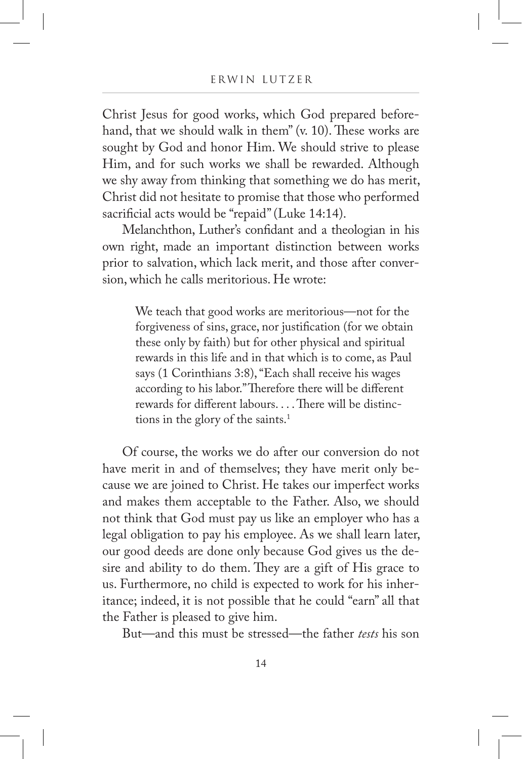Christ Jesus for good works, which God prepared beforehand, that we should walk in them" (v. 10). These works are sought by God and honor Him. We should strive to please Him, and for such works we shall be rewarded. Although we shy away from thinking that something we do has merit, Christ did not hesitate to promise that those who performed sacrificial acts would be "repaid" (Luke 14:14).

Melanchthon, Luther's confidant and a theologian in his own right, made an important distinction between works prior to salvation, which lack merit, and those after conversion, which he calls meritorious. He wrote:

> We teach that good works are meritorious—not for the forgiveness of sins, grace, nor justification (for we obtain these only by faith) but for other physical and spiritual rewards in this life and in that which is to come, as Paul says (1 Corinthians 3:8), "Each shall receive his wages according to his labor." Therefore there will be different rewards for different labours. . . . There will be distinctions in the glory of the saints.<sup>1</sup>

Of course, the works we do after our conversion do not have merit in and of themselves; they have merit only because we are joined to Christ. He takes our imperfect works and makes them acceptable to the Father. Also, we should not think that God must pay us like an employer who has a legal obligation to pay his employee. As we shall learn later, our good deeds are done only because God gives us the desire and ability to do them. They are a gift of His grace to us. Furthermore, no child is expected to work for his inheritance; indeed, it is not possible that he could "earn" all that the Father is pleased to give him.

But—and this must be stressed—the father *tests* his son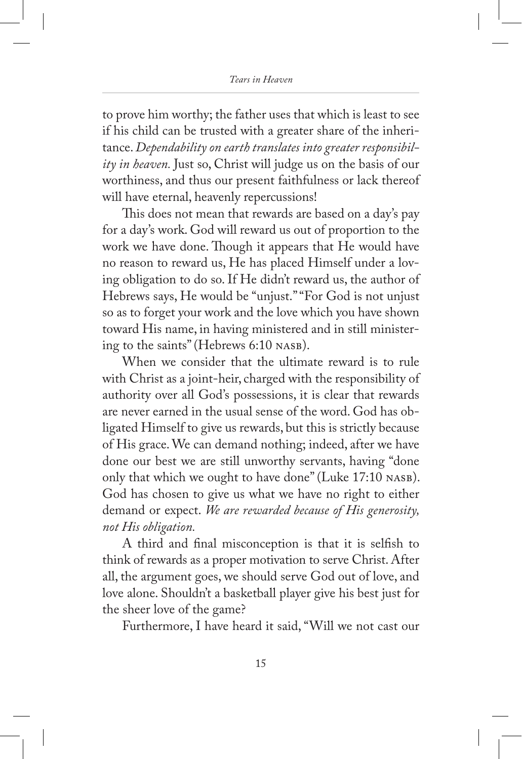to prove him worthy; the father uses that which is least to see if his child can be trusted with a greater share of the inheritance. *Dependability on earth translates into greater responsibility in heaven.* Just so, Christ will judge us on the basis of our worthiness, and thus our present faithfulness or lack thereof will have eternal, heavenly repercussions!

This does not mean that rewards are based on a day's pay for a day's work. God will reward us out of proportion to the work we have done. Though it appears that He would have no reason to reward us, He has placed Himself under a loving obligation to do so. If He didn't reward us, the author of Hebrews says, He would be "unjust." "For God is not unjust so as to forget your work and the love which you have shown toward His name, in having ministered and in still ministering to the saints" (Hebrews 6:10 NASB).

When we consider that the ultimate reward is to rule with Christ as a joint-heir, charged with the responsibility of authority over all God's possessions, it is clear that rewards are never earned in the usual sense of the word. God has obligated Himself to give us rewards, but this is strictly because of His grace. We can demand nothing; indeed, after we have done our best we are still unworthy servants, having "done only that which we ought to have done" (Luke 17:10 NASB). God has chosen to give us what we have no right to either demand or expect. *We are rewarded because of His generosity, not His obligation.*

A third and final misconception is that it is selfish to think of rewards as a proper motivation to serve Christ. After all, the argument goes, we should serve God out of love, and love alone. Shouldn't a basketball player give his best just for the sheer love of the game?

Furthermore, I have heard it said, "Will we not cast our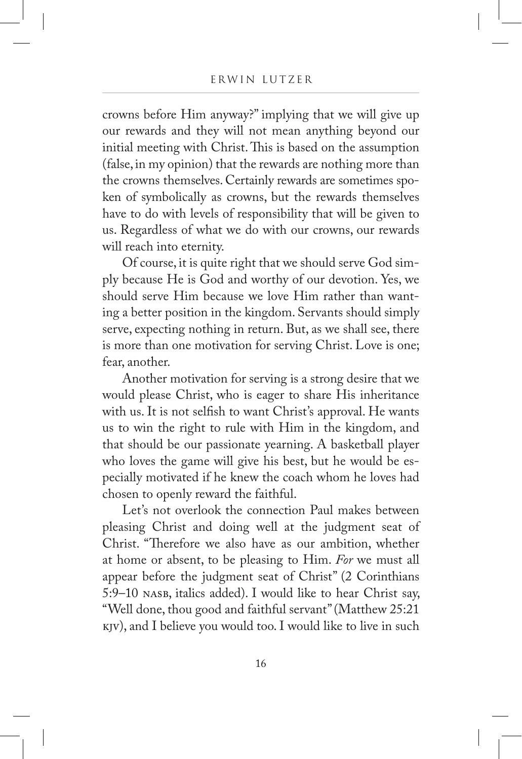crowns before Him anyway?" implying that we will give up our rewards and they will not mean anything beyond our initial meeting with Christ. This is based on the assumption (false, in my opinion) that the rewards are nothing more than the crowns themselves. Certainly rewards are sometimes spoken of symbolically as crowns, but the rewards themselves have to do with levels of responsibility that will be given to us. Regardless of what we do with our crowns, our rewards will reach into eternity.

Of course, it is quite right that we should serve God simply because He is God and worthy of our devotion. Yes, we should serve Him because we love Him rather than wanting a better position in the kingdom. Servants should simply serve, expecting nothing in return. But, as we shall see, there is more than one motivation for serving Christ. Love is one; fear, another.

Another motivation for serving is a strong desire that we would please Christ, who is eager to share His inheritance with us. It is not selfish to want Christ's approval. He wants us to win the right to rule with Him in the kingdom, and that should be our passionate yearning. A basketball player who loves the game will give his best, but he would be especially motivated if he knew the coach whom he loves had chosen to openly reward the faithful.

Let's not overlook the connection Paul makes between pleasing Christ and doing well at the judgment seat of Christ. "Therefore we also have as our ambition, whether at home or absent, to be pleasing to Him. *For* we must all appear before the judgment seat of Christ" (2 Corinthians 5:9-10 NASB, italics added). I would like to hear Christ say, "Well done, thou good and faithful servant" (Matthew 25:21 kjv), and I believe you would too. I would like to live in such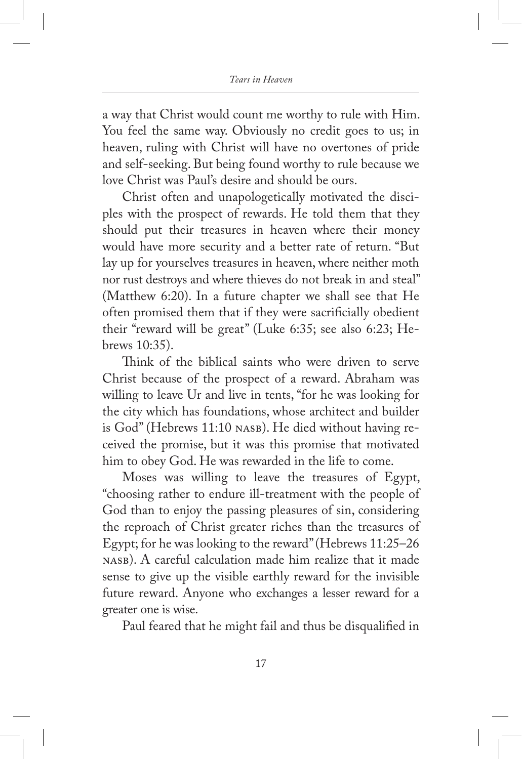a way that Christ would count me worthy to rule with Him. You feel the same way. Obviously no credit goes to us; in heaven, ruling with Christ will have no overtones of pride and self-seeking. But being found worthy to rule because we love Christ was Paul's desire and should be ours.

Christ often and unapologetically motivated the disciples with the prospect of rewards. He told them that they should put their treasures in heaven where their money would have more security and a better rate of return. "But lay up for yourselves treasures in heaven, where neither moth nor rust destroys and where thieves do not break in and steal" (Matthew 6:20). In a future chapter we shall see that He often promised them that if they were sacrificially obedient their "reward will be great" (Luke 6:35; see also 6:23; Hebrews 10:35).

Think of the biblical saints who were driven to serve Christ because of the prospect of a reward. Abraham was willing to leave Ur and live in tents, "for he was looking for the city which has foundations, whose architect and builder is God" (Hebrews 11:10 NASB). He died without having received the promise, but it was this promise that motivated him to obey God. He was rewarded in the life to come.

Moses was willing to leave the treasures of Egypt, "choosing rather to endure ill-treatment with the people of God than to enjoy the passing pleasures of sin, considering the reproach of Christ greater riches than the treasures of Egypt; for he was looking to the reward" (Hebrews 11:25–26 nasb). A careful calculation made him realize that it made sense to give up the visible earthly reward for the invisible future reward. Anyone who exchanges a lesser reward for a greater one is wise.

Paul feared that he might fail and thus be disqualified in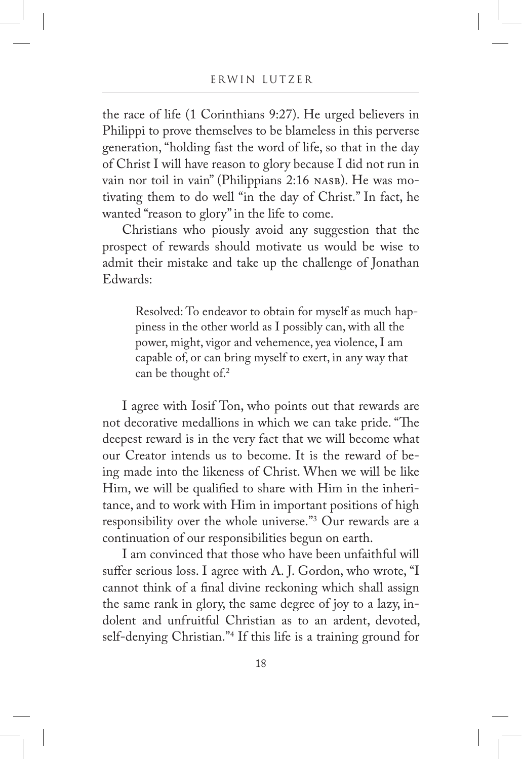the race of life (1 Corinthians 9:27). He urged believers in Philippi to prove themselves to be blameless in this perverse generation, "holding fast the word of life, so that in the day of Christ I will have reason to glory because I did not run in vain nor toil in vain" (Philippians 2:16 NASB). He was motivating them to do well "in the day of Christ." In fact, he wanted "reason to glory" in the life to come.

Christians who piously avoid any suggestion that the prospect of rewards should motivate us would be wise to admit their mistake and take up the challenge of Jonathan Edwards:

> Resolved: To endeavor to obtain for myself as much happiness in the other world as I possibly can, with all the power, might, vigor and vehemence, yea violence, I am capable of, or can bring myself to exert, in any way that can be thought of.<sup>2</sup>

I agree with Iosif Ton, who points out that rewards are not decorative medallions in which we can take pride. "The deepest reward is in the very fact that we will become what our Creator intends us to become. It is the reward of being made into the likeness of Christ. When we will be like Him, we will be qualified to share with Him in the inheritance, and to work with Him in important positions of high responsibility over the whole universe."3 Our rewards are a continuation of our responsibilities begun on earth.

I am convinced that those who have been unfaithful will suffer serious loss. I agree with A. J. Gordon, who wrote, "I cannot think of a final divine reckoning which shall assign the same rank in glory, the same degree of joy to a lazy, indolent and unfruitful Christian as to an ardent, devoted, self-denying Christian."4 If this life is a training ground for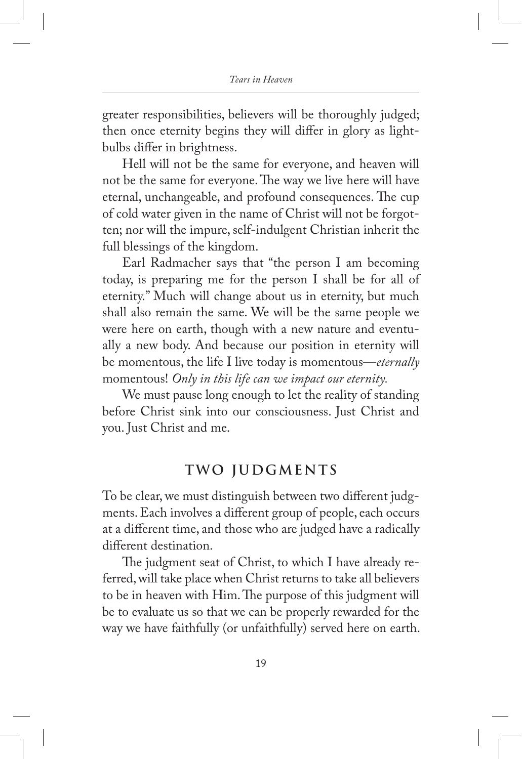greater responsibilities, believers will be thoroughly judged; then once eternity begins they will differ in glory as lightbulbs differ in brightness.

Hell will not be the same for everyone, and heaven will not be the same for everyone. The way we live here will have eternal, unchangeable, and profound consequences. The cup of cold water given in the name of Christ will not be forgotten; nor will the impure, self-indulgent Christian inherit the full blessings of the kingdom.

Earl Radmacher says that "the person I am becoming today, is preparing me for the person I shall be for all of eternity." Much will change about us in eternity, but much shall also remain the same. We will be the same people we were here on earth, though with a new nature and eventually a new body. And because our position in eternity will be momentous, the life I live today is momentous—*eternally*  momentous! *Only in this life can we impact our eternity.*

We must pause long enough to let the reality of standing before Christ sink into our consciousness. Just Christ and you. Just Christ and me.

### **TWO JUDGMENTS**

To be clear, we must distinguish between two different judgments. Each involves a different group of people, each occurs at a different time, and those who are judged have a radically different destination.

The judgment seat of Christ, to which I have already referred, will take place when Christ returns to take all believers to be in heaven with Him. The purpose of this judgment will be to evaluate us so that we can be properly rewarded for the way we have faithfully (or unfaithfully) served here on earth.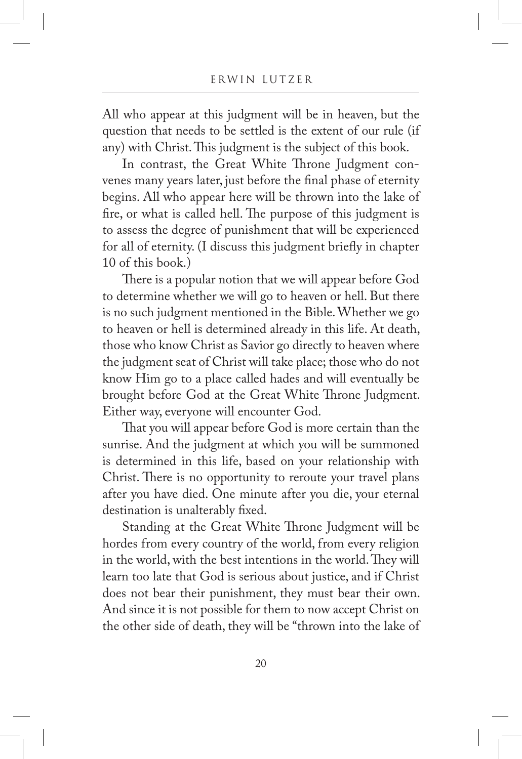All who appear at this judgment will be in heaven, but the question that needs to be settled is the extent of our rule (if any) with Christ. This judgment is the subject of this book.

In contrast, the Great White Throne Judgment convenes many years later, just before the final phase of eternity begins. All who appear here will be thrown into the lake of fire, or what is called hell. The purpose of this judgment is to assess the degree of punishment that will be experienced for all of eternity. (I discuss this judgment briefly in chapter 10 of this book.)

There is a popular notion that we will appear before God to determine whether we will go to heaven or hell. But there is no such judgment mentioned in the Bible. Whether we go to heaven or hell is determined already in this life. At death, those who know Christ as Savior go directly to heaven where the judgment seat of Christ will take place; those who do not know Him go to a place called hades and will eventually be brought before God at the Great White Throne Judgment. Either way, everyone will encounter God.

That you will appear before God is more certain than the sunrise. And the judgment at which you will be summoned is determined in this life, based on your relationship with Christ. There is no opportunity to reroute your travel plans after you have died. One minute after you die, your eternal destination is unalterably fixed.

Standing at the Great White Throne Judgment will be hordes from every country of the world, from every religion in the world, with the best intentions in the world. They will learn too late that God is serious about justice, and if Christ does not bear their punishment, they must bear their own. And since it is not possible for them to now accept Christ on the other side of death, they will be "thrown into the lake of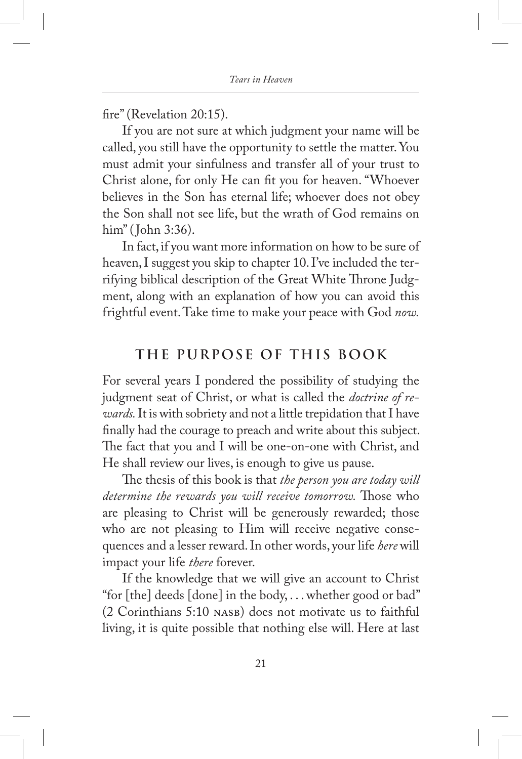fire" (Revelation 20:15).

If you are not sure at which judgment your name will be called, you still have the opportunity to settle the matter. You must admit your sinfulness and transfer all of your trust to Christ alone, for only He can fit you for heaven. "Whoever believes in the Son has eternal life; whoever does not obey the Son shall not see life, but the wrath of God remains on him" (John 3:36).

In fact, if you want more information on how to be sure of heaven, I suggest you skip to chapter 10. I've included the terrifying biblical description of the Great White Throne Judgment, along with an explanation of how you can avoid this frightful event. Take time to make your peace with God *now.*

### **THE PURPOSE OF THIS BOOK**

For several years I pondered the possibility of studying the judgment seat of Christ, or what is called the *doctrine of rewards.* It is with sobriety and not a little trepidation that I have finally had the courage to preach and write about this subject. The fact that you and I will be one-on-one with Christ, and He shall review our lives, is enough to give us pause.

The thesis of this book is that *the person you are today will determine the rewards you will receive tomorrow.* Those who are pleasing to Christ will be generously rewarded; those who are not pleasing to Him will receive negative consequences and a lesser reward. In other words, your life *here* will impact your life *there* forever.

If the knowledge that we will give an account to Christ "for [the] deeds [done] in the body, . . . whether good or bad" (2 Corinthians 5:10 NASB) does not motivate us to faithful living, it is quite possible that nothing else will. Here at last